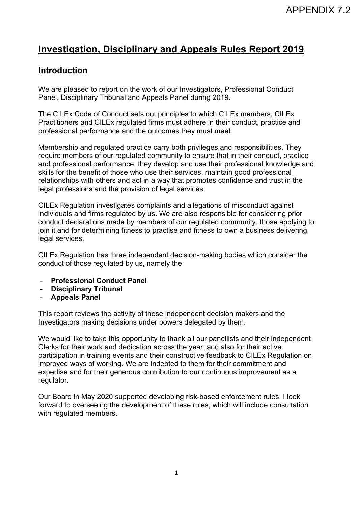# **Investigation, Disciplinary and Appeals Rules Report 2019**

# **Introduction**

We are pleased to report on the work of our Investigators, Professional Conduct Panel, Disciplinary Tribunal and Appeals Panel during 2019.

The CILEx Code of Conduct sets out principles to which CILEx members, CILEx Practitioners and CILEx regulated firms must adhere in their conduct, practice and professional performance and the outcomes they must meet.

Membership and regulated practice carry both privileges and responsibilities. They require members of our regulated community to ensure that in their conduct, practice and professional performance, they develop and use their professional knowledge and skills for the benefit of those who use their services, maintain good professional relationships with others and act in a way that promotes confidence and trust in the legal professions and the provision of legal services.

CILEx Regulation investigates complaints and allegations of misconduct against individuals and firms regulated by us. We are also responsible for considering prior conduct declarations made by members of our regulated community, those applying to join it and for determining fitness to practise and fitness to own a business delivering legal services.

CILEx Regulation has three independent decision-making bodies which consider the conduct of those regulated by us, namely the:

- **Professional Conduct Panel**
- **Disciplinary Tribunal**
- **Appeals Panel**

This report reviews the activity of these independent decision makers and the Investigators making decisions under powers delegated by them.

We would like to take this opportunity to thank all our panellists and their independent Clerks for their work and dedication across the year, and also for their active participation in training events and their constructive feedback to CILEx Regulation on improved ways of working. We are indebted to them for their commitment and expertise and for their generous contribution to our continuous improvement as a regulator.

Our Board in May 2020 supported developing risk-based enforcement rules. I look forward to overseeing the development of these rules, which will include consultation with regulated members.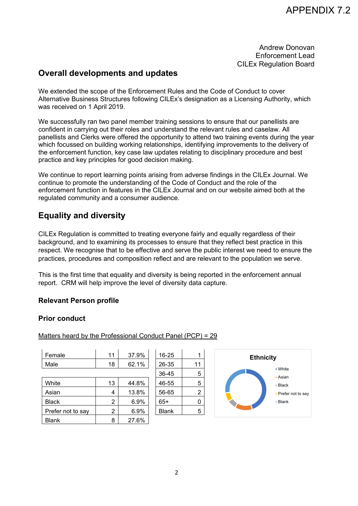Andrew Donovan Enforcement Lead CILEx Regulation Board

# **Overall developments and updates**

We extended the scope of the Enforcement Rules and the Code of Conduct to cover Alternative Business Structures following CILEx's designation as a Licensing Authority, which was received on 1 April 2019.

We successfully ran two panel member training sessions to ensure that our panellists are confident in carrying out their roles and understand the relevant rules and caselaw. All panellists and Clerks were offered the opportunity to attend two training events during the year which focussed on building working relationships, identifying improvements to the delivery of the enforcement function, key case law updates relating to disciplinary procedure and best practice and key principles for good decision making.

We continue to report learning points arising from adverse findings in the CILEx Journal. We continue to promote the understanding of the Code of Conduct and the role of the enforcement function in features in the CILEx Journal and on our website aimed both at the regulated community and a consumer audience.

# **Equality and diversity**

CILEx Regulation is committed to treating everyone fairly and equally regardless of their background, and to examining its processes to ensure that they reflect best practice in this respect. We recognise that to be effective and serve the public interest we need to ensure the practices, procedures and composition reflect and are relevant to the population we serve.

This is the first time that equality and diversity is being reported in the enforcement annual report. CRM will help improve the level of diversity data capture.

### **Relevant Person profile**

### **Prior conduct**

Matters heard by the Professional Conduct Panel (PCP) = 29

| Female            | 11 | 37.9% | 16-25        | 1              |
|-------------------|----|-------|--------------|----------------|
| Male              | 18 | 62.1% | 26-35        | 11             |
|                   |    |       | 36-45        | 5              |
| White             | 13 | 44.8% | 46-55        | 5              |
| Asian             | 4  | 13.8% | 56-65        | $\overline{2}$ |
| Black             | 2  | 6.9%  | $65+$        | 0              |
| Prefer not to say | 2  | 6.9%  | <b>Blank</b> | 5              |
| Blank             | 8  | 27.6% |              |                |

| 16-25 |    |
|-------|----|
| 26-35 | 11 |
| 36-45 | 5  |
| 46-55 | 5  |
| 56-65 | 2  |
| 65+   | O  |
| Blank | 5  |
|       |    |

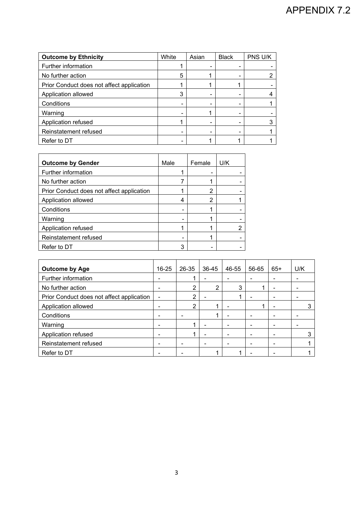| <b>Outcome by Ethnicity</b>               | White | Asian | <b>Black</b> | PNS U/K |
|-------------------------------------------|-------|-------|--------------|---------|
| Further information                       |       |       |              |         |
| No further action                         | 5     |       |              |         |
| Prior Conduct does not affect application |       |       |              |         |
| Application allowed                       | 3     |       |              |         |
| Conditions                                |       |       |              |         |
| Warning                                   |       |       |              |         |
| Application refused                       |       |       |              |         |
| Reinstatement refused                     |       |       |              |         |
| Refer to DT                               |       |       |              |         |

| <b>Outcome by Gender</b>                  | Male | Female | U/K |
|-------------------------------------------|------|--------|-----|
| Further information                       |      |        |     |
| No further action                         |      |        |     |
| Prior Conduct does not affect application |      | 2      |     |
| Application allowed                       | 4    | 2      |     |
| Conditions                                |      |        |     |
| Warning                                   |      |        |     |
| Application refused                       |      |        |     |
| Reinstatement refused                     |      |        |     |
| Refer to DT                               | 3    |        |     |

| <b>Outcome by Age</b>                     | $16 - 25$                | 26-35          | 36-45 | 46-55 | 56-65 | $65+$ | U/K |
|-------------------------------------------|--------------------------|----------------|-------|-------|-------|-------|-----|
| Further information                       |                          |                |       |       |       |       |     |
| No further action                         |                          | 2              | 2     | 3     |       |       |     |
| Prior Conduct does not affect application |                          | 2              |       |       |       |       |     |
| Application allowed                       |                          | $\overline{2}$ |       |       |       |       |     |
| Conditions                                |                          |                |       |       |       |       |     |
| Warning                                   |                          |                |       |       | -     |       |     |
| Application refused                       |                          |                |       |       |       |       |     |
| Reinstatement refused                     | $\overline{\phantom{0}}$ |                |       |       |       |       |     |
| Refer to DT                               |                          |                |       |       |       |       |     |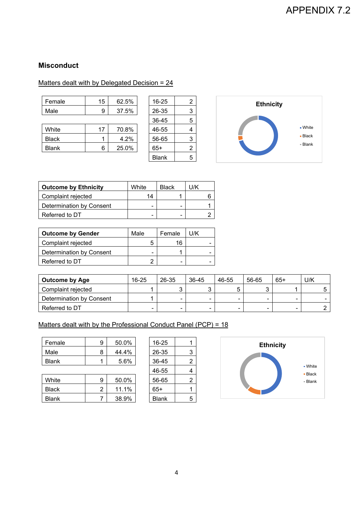## **Misconduct**

## Matters dealt with by Delegated Decision = 24

| Female | 15 | 62.5% | 16-25   |  |
|--------|----|-------|---------|--|
| Male   | 9  | 37.5% | 26-35   |  |
|        |    |       | $36-45$ |  |

| White        | 17 | 70.8% | 46-55 |   |
|--------------|----|-------|-------|---|
| <b>Black</b> |    | 4.2%  | 56-65 | 3 |
| <b>Blank</b> | 6  | 25.0% | $65+$ | ⌒ |

| 16-25 | 2              |
|-------|----------------|
| 26-35 | 3              |
| 36-45 | 5              |
| 46-55 | 4              |
| 56-65 | 3              |
| $65+$ | $\overline{2}$ |
| Blank | 5              |



| <b>Outcome by Ethnicity</b> | White                    | <b>Black</b> | l I/K |
|-----------------------------|--------------------------|--------------|-------|
| Complaint rejected          | 14                       |              |       |
| Determination by Consent    | $\overline{\phantom{0}}$ |              |       |
| Referred to DT              | -                        |              |       |

| <b>Outcome by Gender</b> | Male | Female | 1/K |
|--------------------------|------|--------|-----|
| Complaint rejected       |      | 16     |     |
| Determination by Consent |      |        |     |
| Referred to DT           |      |        |     |

| <b>Outcome by Age</b>    | $16 - 25$ | 26-35                    | 36-45 | 46-55 | 56-65 | $65+$ | U/K |
|--------------------------|-----------|--------------------------|-------|-------|-------|-------|-----|
| Complaint rejected       |           |                          |       |       |       |       |     |
| Determination by Consent |           | $\overline{\phantom{0}}$ | -     |       |       | -     |     |
| Referred to DT           | -         | -                        | -     | -     |       | -     |     |

## Matters dealt with by the Professional Conduct Panel (PCP) = 18

| Female       | 9 | 50.0% | $16 - 25$ |  |
|--------------|---|-------|-----------|--|
| Male         |   | 44.4% | 26-35     |  |
| <b>Blank</b> |   | 5.6%  | 36-45     |  |

|              |   |       | .            |   |
|--------------|---|-------|--------------|---|
| White        | 9 | 50.0% | 56-65        |   |
| <b>Black</b> | ⌒ | 11.1% | 65+          |   |
| <b>Blank</b> |   | 38.9% | <b>Blank</b> | 5 |
|              |   |       |              |   |

| 16-25 |   |
|-------|---|
| 26-35 | 3 |
| 36-45 | 2 |
| 46-55 | 4 |
| 56-65 | 2 |
| $65+$ |   |
| Blank | 5 |

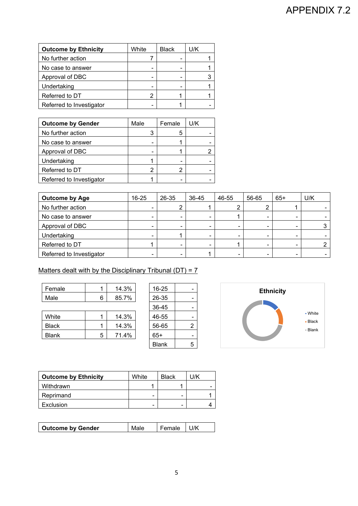| <b>Outcome by Ethnicity</b> | White | <b>Black</b> | U/K |  |
|-----------------------------|-------|--------------|-----|--|
| No further action           |       |              |     |  |
| No case to answer           |       |              |     |  |
| Approval of DBC             |       |              |     |  |
| Undertaking                 | -     |              |     |  |
| Referred to DT              | 2     |              |     |  |
| Referred to Investigator    |       |              |     |  |

| <b>Outcome by Gender</b> | Male | Female | U/K |
|--------------------------|------|--------|-----|
| No further action        | 3    | 5      |     |
| No case to answer        |      |        |     |
| Approval of DBC          |      |        |     |
| Undertaking              |      |        |     |
| Referred to DT           | 2    |        |     |
| Referred to Investigator |      |        |     |

| <b>Outcome by Age</b>    | $16 - 25$ | 26-35 | 36-45 | 46-55 | 56-65 | $65+$          | U/K |
|--------------------------|-----------|-------|-------|-------|-------|----------------|-----|
| No further action        |           | റ     |       |       |       |                |     |
| No case to answer        |           | -     |       |       |       | $\blacksquare$ |     |
| Approval of DBC          |           | -     |       | -     |       |                |     |
| Undertaking              |           |       |       |       |       |                |     |
| Referred to DT           |           |       |       |       |       | $\blacksquare$ |     |
| Referred to Investigator |           | -     |       |       |       |                |     |

## Matters dealt with by the Disciplinary Tribunal ( $DT$ ) = 7

| Female |   | 14.3% | 16-25 |  |
|--------|---|-------|-------|--|
| Male   | 6 | 85.7% | 26-35 |  |

| White        |   | 14.3% | 46-55 |  |
|--------------|---|-------|-------|--|
| <b>Black</b> |   | 14.3% | 56-65 |  |
| <b>Blank</b> | 5 | 71.4% | 65+   |  |
|              |   |       |       |  |

| 16-25 |   |
|-------|---|
| 26-35 |   |
| 36-45 |   |
| 46-55 |   |
| 56-65 | 2 |
| $65+$ |   |
| Blank | 5 |



| <b>Outcome by Ethnicity</b> | White                    | <b>Black</b> | l I/K |
|-----------------------------|--------------------------|--------------|-------|
| Withdrawn                   |                          |              |       |
| Reprimand                   | $\overline{\phantom{0}}$ | -            |       |
| Exclusion                   | $\overline{\phantom{0}}$ |              |       |

| <b>Outcome by Gender</b> | Male | Female |  |
|--------------------------|------|--------|--|
|--------------------------|------|--------|--|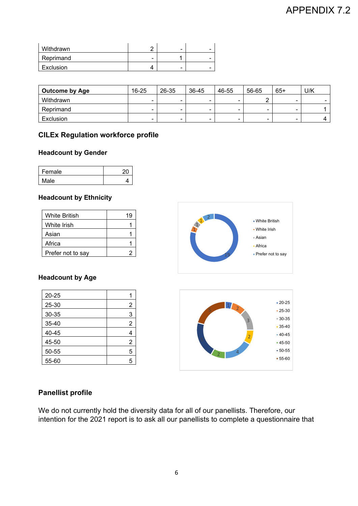| Withdrawn |                          | $\overline{\phantom{0}}$ |   |
|-----------|--------------------------|--------------------------|---|
| Reprimand | $\overline{\phantom{0}}$ |                          | - |
| Exclusion |                          | $\overline{\phantom{0}}$ | - |

| <b>Outcome by Age</b> | 16-25 | 26-35                    | 36-45                    | 46-55                    | 56-65 | $65+$                    | U/K                      |
|-----------------------|-------|--------------------------|--------------------------|--------------------------|-------|--------------------------|--------------------------|
| Withdrawn             | -     | -                        | -                        | -                        |       | $\overline{\phantom{a}}$ | $\overline{\phantom{0}}$ |
| Reprimand             | -     | $\overline{\phantom{0}}$ | $\overline{\phantom{0}}$ | $\overline{\phantom{0}}$ | -     | $\overline{\phantom{a}}$ |                          |
| Exclusion             | -     | $\sim$                   | $\overline{\phantom{0}}$ | -                        | -     | -                        |                          |

## **CILEx Regulation workforce profile**

## **Headcount by Gender**

| Female |  |
|--------|--|
| Male   |  |

### **Headcount by Ethnicity**

| <b>White British</b> |  |
|----------------------|--|
| White Irish          |  |
| Asian                |  |
| Africa               |  |
| Prefer not to say    |  |

### **Headcount by Age**

| $20 - 25$ |   |
|-----------|---|
| 25-30     | 2 |
| 30-35     | 3 |
| 35-40     | 2 |
| 40-45     |   |
| 45-50     | 2 |
| 50-55     | 5 |
| 55-60     | 5 |



# **Panellist profile**

We do not currently hold the diversity data for all of our panellists. Therefore, our intention for the 2021 report is to ask all our panellists to complete a questionnaire that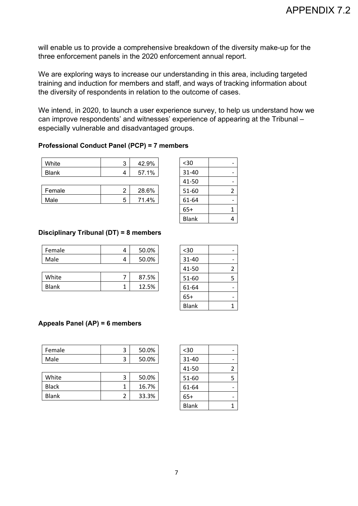will enable us to provide a comprehensive breakdown of the diversity make-up for the three enforcement panels in the 2020 enforcement annual report.

We are exploring ways to increase our understanding in this area, including targeted training and induction for members and staff, and ways of tracking information about the diversity of respondents in relation to the outcome of cases.

We intend, in 2020, to launch a user experience survey, to help us understand how we can improve respondents' and witnesses' experience of appearing at the Tribunal – especially vulnerable and disadvantaged groups.

### **Professional Conduct Panel (PCP) = 7 members**

| White        | ⌒<br>J | 42.9% |
|--------------|--------|-------|
| <b>Blank</b> |        | 57 1% |

| Female | 28.6% |
|--------|-------|
| Male   | 71.4% |

| <30          |   |
|--------------|---|
| 31-40        |   |
| 41-50        |   |
| 51-60        | 2 |
| 61-64        |   |
| $65+$        | 1 |
| <b>Blank</b> |   |

### **Disciplinary Tribunal (DT) = 8 members**

| Female | 50.0% |
|--------|-------|
| Male   | 50.0% |

| White        | 87.5% |
|--------------|-------|
| <b>Blank</b> | 12.5% |

| <30          |   |
|--------------|---|
| 31-40        |   |
| 41-50        | 2 |
| 51-60        | 5 |
| 61-64        |   |
| $65+$        |   |
| <b>Blank</b> |   |

## **Appeals Panel (AP) = 6 members**

| Female | 50.0% |
|--------|-------|
| Male   | 50.0% |

| White        | 50.0% |
|--------------|-------|
| <b>Black</b> | 16.7% |
| <b>Blank</b> | 33.3% |

| $30$         |   |
|--------------|---|
| 31-40        |   |
| 41-50        | 2 |
| 51-60        | 5 |
| 61-64        |   |
| $65+$        |   |
| <b>Blank</b> |   |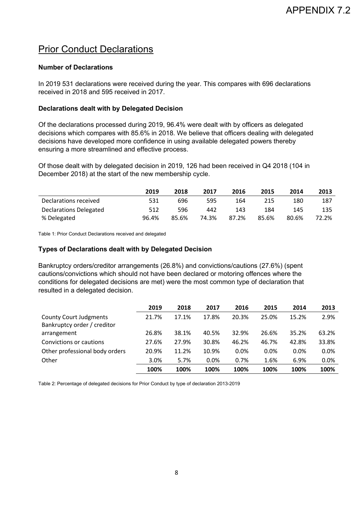# Prior Conduct Declarations

### **Number of Declarations**

In 2019 531 declarations were received during the year. This compares with 696 declarations received in 2018 and 595 received in 2017.

### **Declarations dealt with by Delegated Decision**

Of the declarations processed during 2019, 96.4% were dealt with by officers as delegated decisions which compares with 85.6% in 2018. We believe that officers dealing with delegated decisions have developed more confidence in using available delegated powers thereby ensuring a more streamlined and effective process.

Of those dealt with by delegated decision in 2019, 126 had been received in Q4 2018 (104 in December 2018) at the start of the new membership cycle.

|                        | 2019  | 2018  | 2017  | 2016  | 2015  | 2014  | 2013  |
|------------------------|-------|-------|-------|-------|-------|-------|-------|
| Declarations received  | 531   | 696   | 595   | 164   | 215   | 180   | 187   |
| Declarations Delegated | 512   | 596   | 442   | 143   | 184   | 145   | 135   |
| % Delegated            | 96.4% | 85.6% | 74.3% | 87.2% | 85.6% | 80.6% | 72.2% |

Table 1: Prior Conduct Declarations received and delegated

#### **Types of Declarations dealt with by Delegated Decision**

Bankruptcy orders/creditor arrangements (26.8%) and convictions/cautions (27.6%) (spent cautions/convictions which should not have been declared or motoring offences where the conditions for delegated decisions are met) were the most common type of declaration that resulted in a delegated decision.

|                                                              | 2019  | 2018  | 2017    | 2016  | 2015  | 2014    | 2013  |
|--------------------------------------------------------------|-------|-------|---------|-------|-------|---------|-------|
| <b>County Court Judgments</b><br>Bankruptcy order / creditor | 21.7% | 17.1% | 17.8%   | 20.3% | 25.0% | 15.2%   | 2.9%  |
| arrangement                                                  | 26.8% | 38.1% | 40.5%   | 32.9% | 26.6% | 35.2%   | 63.2% |
| Convictions or cautions                                      | 27.6% | 27.9% | 30.8%   | 46.2% | 46.7% | 42.8%   | 33.8% |
| Other professional body orders                               | 20.9% | 11.2% | 10.9%   | 0.0%  | 0.0%  | $0.0\%$ | 0.0%  |
| Other                                                        | 3.0%  | 5.7%  | $0.0\%$ | 0.7%  | 1.6%  | 6.9%    | 0.0%  |
|                                                              | 100%  | 100%  | 100%    | 100%  | 100%  | 100%    | 100%  |

Table 2: Percentage of delegated decisions for Prior Conduct by type of declaration 2013-2019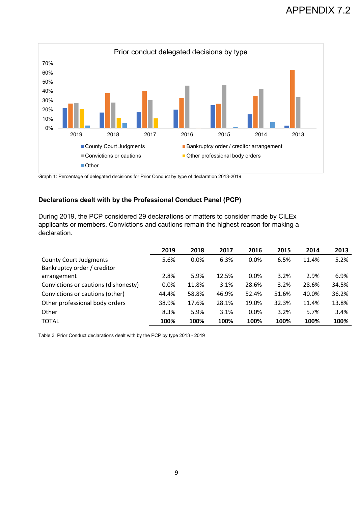

Graph 1: Percentage of delegated decisions for Prior Conduct by type of declaration 2013-2019

#### **Declarations dealt with by the Professional Conduct Panel (PCP)**

During 2019, the PCP considered 29 declarations or matters to consider made by CILEx applicants or members. Convictions and cautions remain the highest reason for making a declaration.

|                                      | 2019  | 2018  | 2017  | 2016    | 2015  | 2014  | 2013  |
|--------------------------------------|-------|-------|-------|---------|-------|-------|-------|
| <b>County Court Judgments</b>        | 5.6%  | 0.0%  | 6.3%  | 0.0%    | 6.5%  | 11.4% | 5.2%  |
| Bankruptcy order / creditor          |       |       |       |         |       |       |       |
| arrangement                          | 2.8%  | 5.9%  | 12.5% | $0.0\%$ | 3.2%  | 2.9%  | 6.9%  |
| Convictions or cautions (dishonesty) | 0.0%  | 11.8% | 3.1%  | 28.6%   | 3.2%  | 28.6% | 34.5% |
| Convictions or cautions (other)      | 44.4% | 58.8% | 46.9% | 52.4%   | 51.6% | 40.0% | 36.2% |
| Other professional body orders       | 38.9% | 17.6% | 28.1% | 19.0%   | 32.3% | 11.4% | 13.8% |
| Other                                | 8.3%  | 5.9%  | 3.1%  | $0.0\%$ | 3.2%  | 5.7%  | 3.4%  |
| <b>TOTAL</b>                         | 100%  | 100%  | 100%  | 100%    | 100%  | 100%  | 100%  |

Table 3: Prior Conduct declarations dealt with by the PCP by type 2013 - 2019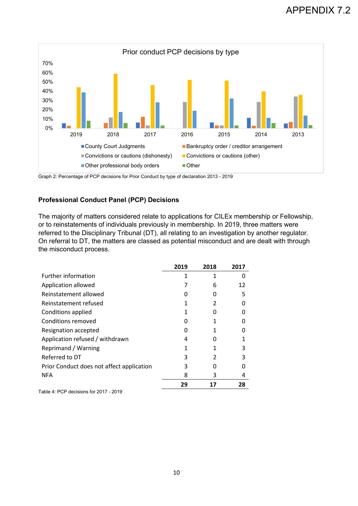

Graph 2: Percentage of PCP decisions for Prior Conduct by type of declaration 2013 - 2019

### **Professional Conduct Panel (PCP) Decisions**

The majority of matters considered relate to applications for CILEx membership or Fellowship, or to reinstatements of individuals previously in membership. In 2019, three matters were referred to the Disciplinary Tribunal (DT), all relating to an investigation by another regulator. On referral to DT, the matters are classed as potential misconduct and are dealt with through the misconduct process.

|                                           | 2019 | 2018 | 2017 |
|-------------------------------------------|------|------|------|
| <b>Further information</b>                |      | 1    |      |
| Application allowed                       |      | 6    | 12   |
| Reinstatement allowed                     |      | O    | 5    |
| Reinstatement refused                     |      |      |      |
| Conditions applied                        |      |      |      |
| <b>Conditions removed</b>                 |      |      |      |
| Resignation accepted                      |      |      |      |
| Application refused / withdrawn           | 4    |      |      |
| Reprimand / Warning                       |      |      | ੨    |
| Referred to DT                            | 3    |      |      |
| Prior Conduct does not affect application | 3    |      |      |
| <b>NFA</b>                                | 8    | 3    | 4    |
|                                           | 29   |      | 28   |

Table 4: PCP decisions for 2017 - 2019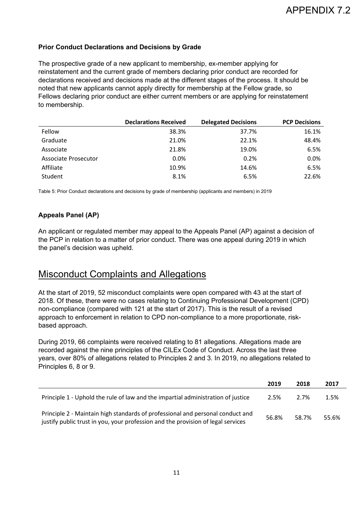### **Prior Conduct Declarations and Decisions by Grade**

The prospective grade of a new applicant to membership, ex-member applying for reinstatement and the current grade of members declaring prior conduct are recorded for declarations received and decisions made at the different stages of the process. It should be noted that new applicants cannot apply directly for membership at the Fellow grade, so Fellows declaring prior conduct are either current members or are applying for reinstatement to membership.

|                      | <b>Declarations Received</b> | <b>Delegated Decisions</b> | <b>PCP Decisions</b> |
|----------------------|------------------------------|----------------------------|----------------------|
| Fellow               | 38.3%                        | 37.7%                      | 16.1%                |
| Graduate             | 21.0%                        | 22.1%                      | 48.4%                |
| Associate            | 21.8%                        | 19.0%                      | 6.5%                 |
| Associate Prosecutor | 0.0%                         | 0.2%                       | 0.0%                 |
| Affiliate            | 10.9%                        | 14.6%                      | 6.5%                 |
| Student              | 8.1%                         | 6.5%                       | 22.6%                |

Table 5: Prior Conduct declarations and decisions by grade of membership (applicants and members) in 2019

### **Appeals Panel (AP)**

An applicant or regulated member may appeal to the Appeals Panel (AP) against a decision of the PCP in relation to a matter of prior conduct. There was one appeal during 2019 in which the panel's decision was upheld.

# Misconduct Complaints and Allegations

At the start of 2019, 52 misconduct complaints were open compared with 43 at the start of 2018. Of these, there were no cases relating to Continuing Professional Development (CPD) non-compliance (compared with 121 at the start of 2017). This is the result of a revised approach to enforcement in relation to CPD non-compliance to a more proportionate, riskbased approach.

During 2019, 66 complaints were received relating to 81 allegations. Allegations made are recorded against the nine principles of the CILEx Code of Conduct. Across the last three years, over 80% of allegations related to Principles 2 and 3. In 2019, no allegations related to Principles 6, 8 or 9.

|                                                                                                                                                                    | 2019  | 2018  | 2017  |
|--------------------------------------------------------------------------------------------------------------------------------------------------------------------|-------|-------|-------|
| Principle 1 - Uphold the rule of law and the impartial administration of justice                                                                                   | 2.5%  | 2.7%  | 1.5%  |
| Principle 2 - Maintain high standards of professional and personal conduct and<br>justify public trust in you, your profession and the provision of legal services | 56.8% | 58.7% | 55.6% |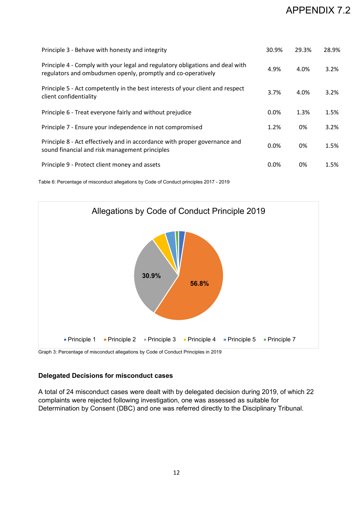# APPENDIX 7.2

| Principle 3 - Behave with honesty and integrity                                                                                               | 30.9% | 29.3% | 28.9% |
|-----------------------------------------------------------------------------------------------------------------------------------------------|-------|-------|-------|
| Principle 4 - Comply with your legal and regulatory obligations and deal with<br>regulators and ombudsmen openly, promptly and co-operatively | 4.9%  | 4.0%  | 3.2%  |
| Principle 5 - Act competently in the best interests of your client and respect<br>client confidentiality                                      | 3.7%  | 4.0%  | 3.2%  |
| Principle 6 - Treat everyone fairly and without prejudice                                                                                     | 0.0%  | 1.3%  | 1.5%  |
| Principle 7 - Ensure your independence in not compromised                                                                                     | 1.2%  | 0%    | 3.2%  |
| Principle 8 - Act effectively and in accordance with proper governance and<br>sound financial and risk management principles                  | 0.0%  | 0%    | 1.5%  |
| Principle 9 - Protect client money and assets                                                                                                 | 0.0%  | 0%    | 1.5%  |

Table 6: Percentage of misconduct allegations by Code of Conduct principles 2017 - 2019



Graph 3: Percentage of misconduct allegations by Code of Conduct Principles in 2019

#### **Delegated Decisions for misconduct cases**

A total of 24 misconduct cases were dealt with by delegated decision during 2019, of which 22 complaints were rejected following investigation, one was assessed as suitable for Determination by Consent (DBC) and one was referred directly to the Disciplinary Tribunal.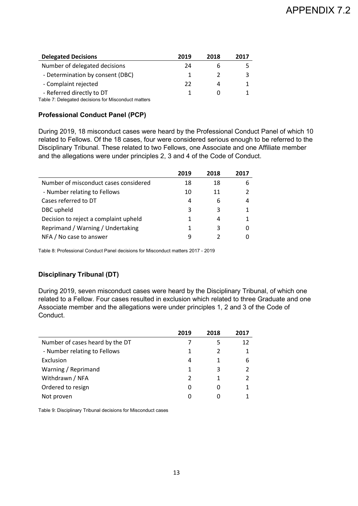| <b>Delegated Decisions</b>                          | 2019 | 2018 | 2017 |
|-----------------------------------------------------|------|------|------|
| Number of delegated decisions                       | 24   |      |      |
| - Determination by consent (DBC)                    |      |      |      |
| - Complaint rejected                                | 22   |      |      |
| - Referred directly to DT                           |      |      |      |
| Table 7: Delegated decisions for Misconduct matters |      |      |      |

### **Professional Conduct Panel (PCP)**

During 2019, 18 misconduct cases were heard by the Professional Conduct Panel of which 10 related to Fellows. Of the 18 cases, four were considered serious enough to be referred to the Disciplinary Tribunal. These related to two Fellows, one Associate and one Affiliate member and the allegations were under principles 2, 3 and 4 of the Code of Conduct.

|                                       | 2019 | 2018      | 2017 |
|---------------------------------------|------|-----------|------|
| Number of misconduct cases considered | 18   | 18        |      |
| - Number relating to Fellows          | 10   | 11        |      |
| Cases referred to DT                  | 4    | 6         |      |
| DBC upheld                            | 3    | 3         |      |
| Decision to reject a complaint upheld | 1    | $\Lambda$ |      |
| Reprimand / Warning / Undertaking     |      | 3         |      |
| NFA / No case to answer               |      |           |      |

Table 8: Professional Conduct Panel decisions for Misconduct matters 2017 - 2019

### **Disciplinary Tribunal (DT)**

During 2019, seven misconduct cases were heard by the Disciplinary Tribunal, of which one related to a Fellow. Four cases resulted in exclusion which related to three Graduate and one Associate member and the allegations were under principles 1, 2 and 3 of the Code of Conduct.

|                                 | 2019 | 2018 | 2017 |
|---------------------------------|------|------|------|
| Number of cases heard by the DT |      | 5    | 12   |
| - Number relating to Fellows    | 1    |      |      |
| Exclusion                       | 4    |      | 6    |
| Warning / Reprimand             | 1    | 3    |      |
| Withdrawn / NFA                 | 2    |      |      |
| Ordered to resign               | 0    |      |      |
| Not proven                      | Ω    |      |      |

Table 9: Disciplinary Tribunal decisions for Misconduct cases